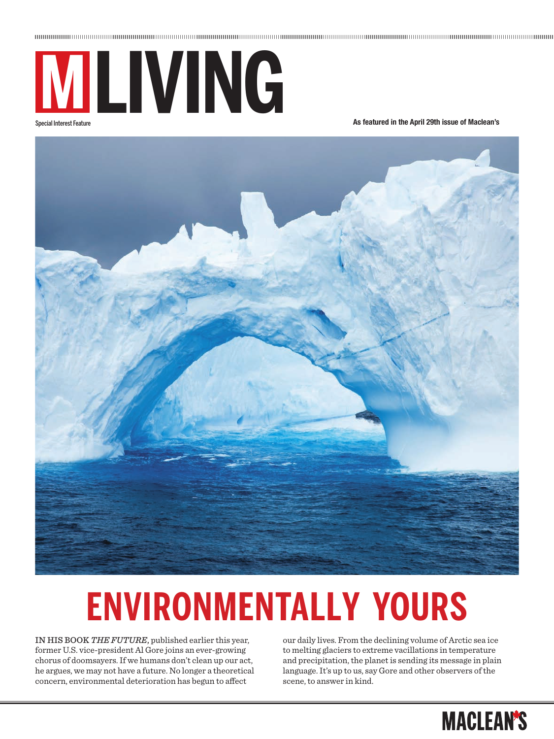

Special Interest Feature

**As featured in the April 29th issue of Maclean's**



# **ENVIRONMENTALLY YOURS**

In hIs book *The FuTure*, published earlier this year, former U.S. vice-president Al Gore joins an ever-growing chorus of doomsayers. If we humans don't clean up our act, he argues, we may not have a future. No longer a theoretical concern, environmental deterioration has begun to afect

our daily lives. From the declining volume of Arctic sea ice to melting glaciers to extreme vacillations in temperature and precipitation, the planet is sending its message in plain language. It's up to us, say Gore and other observers of the scene, to answer in kind.

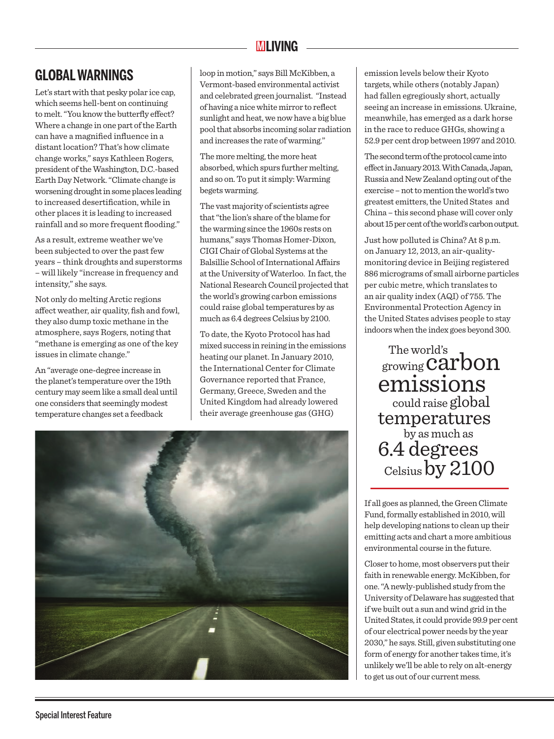## **MLIVING**

## **GLOBAL WARNINGS**

Let's start with that pesky polar ice cap, which seems hell-bent on continuing to melt. "You know the butterfly effect? Where a change in one part of the Earth can have a magnified influence in a distant location? That's how climate change works," says Kathleen Rogers, president of the Washington, D.C.-based Earth Day Network. "Climate change is worsening drought in some places leading to increased desertification, while in other places it is leading to increased rainfall and so more frequent flooding."

As a result, extreme weather we've been subjected to over the past few years – think droughts and superstorms – will likely "increase in frequency and intensity," she says.

Not only do melting Arctic regions afect weather, air quality, fish and fowl, they also dump toxic methane in the atmosphere, says Rogers, noting that "methane is emerging as one of the key issues in climate change."

An "average one-degree increase in the planet's temperature over the 19th century may seem like a small deal until one considers that seemingly modest temperature changes set a feedback

loop in motion," says Bill McKibben, a Vermont-based environmental activist and celebrated green journalist. "Instead of having a nice white mirror to reflect sunlight and heat, we now have a big blue pool that absorbs incoming solar radiation and increases the rate of warming."

The more melting, the more heat absorbed, which spurs further melting, and so on. To put it simply: Warming begets warming.

The vast majority of scientists agree that "the lion's share of the blame for the warming since the 1960s rests on humans," says Thomas Homer-Dixon, CIGI Chair of Global Systems at the Balsillie School of International Afairs at the University of Waterloo. In fact, the National Research Council projected that the world's growing carbon emissions could raise global temperatures by as much as 6.4 degrees Celsius by 2100.

To date, the Kyoto Protocol has had mixed success in reining in the emissions heating our planet. In January 2010, the International Center for Climate Governance reported that France, Germany, Greece, Sweden and the United Kingdom had already lowered their average greenhouse gas (GHG)



emission levels below their Kyoto targets, while others (notably Japan) had fallen egregiously short, actually seeing an increase in emissions. Ukraine, meanwhile, has emerged as a dark horse in the race to reduce GHGs, showing a 52.9 per cent drop between 1997 and 2010.

The second term of the protocol came into efect in January 2013. With Canada, Japan, Russia and New Zealand opting out of the exercise – not to mention the world's two greatest emitters, the United States and China – this second phase will cover only about 15 per cent of the world's carbon output.

Just how polluted is China? At 8 p.m. on January 12, 2013, an air-qualitymonitoring device in Beijing registered 886 micrograms of small airborne particles per cubic metre, which translates to an air quality index (AQI) of 755. The Environmental Protection Agency in the United States advises people to stay indoors when the index goes beyond 300.

 The world's growing carbon emissions could raise global temperatures<br>by as much as 6.4 degrees Celsius by 2100

If all goes as planned, the Green Climate Fund, formally established in 2010, will help developing nations to clean up their emitting acts and chart a more ambitious environmental course in the future.

Closer to home, most observers put their faith in renewable energy. McKibben, for one. "A newly-published study from the University of Delaware has suggested that if we built out a sun and wind grid in the United States, it could provide 99.9 per cent of our electrical power needs by the year 2030," he says. Still, given substituting one form of energy for another takes time, it's unlikely we'll be able to rely on alt-energy to get us out of our current mess.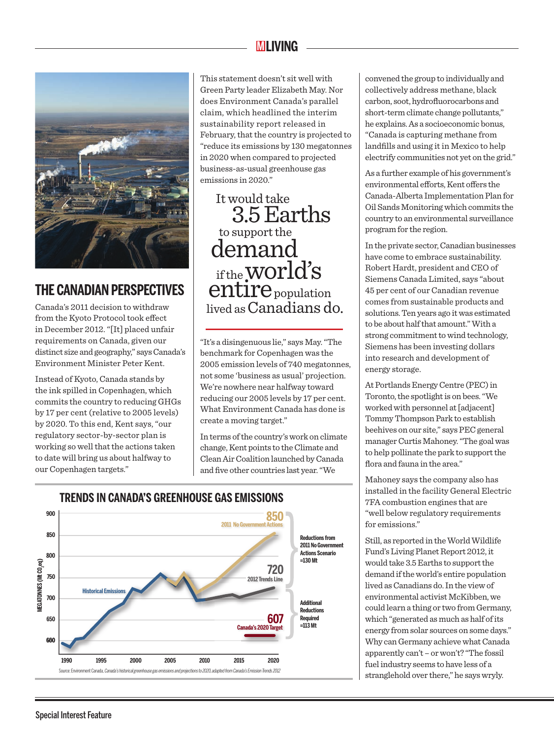## **MLIVING**



## **THE CANADIAN PERSPECTIVES**

Canada's 2011 decision to withdraw from the Kyoto Protocol took effect in December 2012. "[It] placed unfair requirements on Canada, given our distinct size and geography," says Canada's Environment Minister Peter Kent.

Instead of Kyoto, Canada stands by the ink spilled in Copenhagen, which commits the country to reducing GHGs by 17 per cent (relative to 2005 levels) by 2020. To this end, Kent says, "our regulatory sector-by-sector plan is working so well that the actions taken to date will bring us about halfway to our Copenhagen targets."

This statement doesn't sit well with Green Party leader Elizabeth May. Nor does Environment Canada's parallel claim, which headlined the interim sustainability report released in February, that the country is projected to "reduce its emissions by 130 megatonnes in 2020 when compared to projected business-as-usual greenhouse gas emissions in 2020."

 It would take 3.5 Earths<br>demand if the WOT $\mathrm{d}$ 's entire population lived asCanadians do.

"It's a disingenuous lie," says May. "The benchmark for Copenhagen was the 2005 emission levels of 740 megatonnes, not some 'business as usual' projection. We're nowhere near halfway toward reducing our 2005 levels by 17 per cent. What Environment Canada has done is create a moving target."

In terms of the country's work on climate change, Kent points to the Climate and Clean Air Coalition launched by Canada and five other countries last year. "We



convened the group to individually and collectively address methane, black carbon, soot, hydrofluorocarbons and short-term climate change pollutants," he explains. As a socioeconomic bonus, "Canada is capturing methane from landfills and using it in Mexico to help electrify communities not yet on the grid."

As a further example of his government's environmental efforts, Kent offers the Canada-Alberta Implementation Plan for Oil Sands Monitoring which commits the country to an environmental surveillance program for the region.

In the private sector, Canadian businesses have come to embrace sustainability. Robert Hardt, president and CEO of Siemens Canada Limited, says "about 45 per cent of our Canadian revenue comes from sustainable products and solutions. Ten years ago it was estimated to be about half that amount." With a strong commitment to wind technology, Siemens has been investing dollars into research and development of energy storage.

At Portlands Energy Centre (PEC) in Toronto, the spotlight is on bees. "We worked with personnel at [adjacent] Tommy Thompson Park to establish beehives on our site," says PEC general manager Curtis Mahoney. "The goal was to help pollinate the park to support the flora and fauna in the area."

Mahoney says the company also has installed in the facility General Electric 7FA combustion engines that are "well below regulatory requirements for emissions."

Still, as reported in the World Wildlife Fund's Living Planet Report 2012, it would take 3.5 Earths to support the demand if the world's entire population lived as Canadians do. In the view of environmental activist McKibben, we could learn a thing or two from Germany, which "generated as much as half of its energy from solar sources on some days." Why can Germany achieve what Canada apparently can't – or won't? "The fossil fuel industry seems to have less of a stranglehold over there," he says wryly.